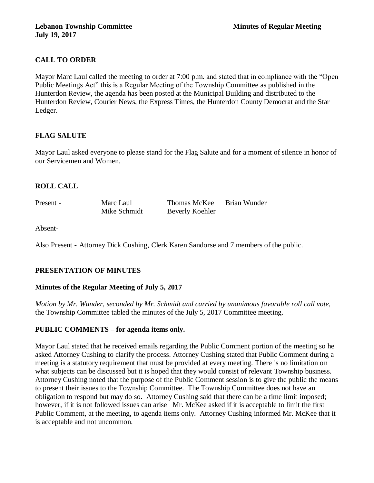# **CALL TO ORDER**

Mayor Marc Laul called the meeting to order at 7:00 p.m. and stated that in compliance with the "Open Public Meetings Act" this is a Regular Meeting of the Township Committee as published in the Hunterdon Review, the agenda has been posted at the Municipal Building and distributed to the Hunterdon Review, Courier News, the Express Times, the Hunterdon County Democrat and the Star Ledger.

# **FLAG SALUTE**

Mayor Laul asked everyone to please stand for the Flag Salute and for a moment of silence in honor of our Servicemen and Women.

# **ROLL CALL**

Present - Marc Laul Thomas McKee Brian Wunder Mike Schmidt Beverly Koehler

Absent-

Also Present - Attorney Dick Cushing, Clerk Karen Sandorse and 7 members of the public.

# **PRESENTATION OF MINUTES**

# **Minutes of the Regular Meeting of July 5, 2017**

*Motion by Mr. Wunder, seconded by Mr. Schmidt and carried by unanimous favorable roll call vote,*  the Township Committee tabled the minutes of the July 5, 2017 Committee meeting.

# **PUBLIC COMMENTS – for agenda items only.**

Mayor Laul stated that he received emails regarding the Public Comment portion of the meeting so he asked Attorney Cushing to clarify the process. Attorney Cushing stated that Public Comment during a meeting is a statutory requirement that must be provided at every meeting. There is no limitation on what subjects can be discussed but it is hoped that they would consist of relevant Township business. Attorney Cushing noted that the purpose of the Public Comment session is to give the public the means to present their issues to the Township Committee. The Township Committee does not have an obligation to respond but may do so. Attorney Cushing said that there can be a time limit imposed; however, if it is not followed issues can arise Mr. McKee asked if it is acceptable to limit the first Public Comment, at the meeting, to agenda items only. Attorney Cushing informed Mr. McKee that it is acceptable and not uncommon.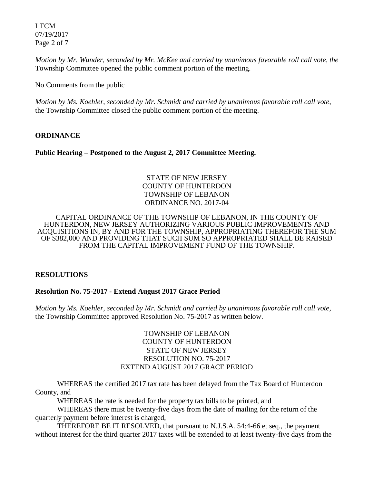LTCM 07/19/2017 Page 2 of 7

*Motion by Mr. Wunder, seconded by Mr. McKee and carried by unanimous favorable roll call vote, the* Township Committee opened the public comment portion of the meeting.

No Comments from the public

*Motion by Ms. Koehler, seconded by Mr. Schmidt and carried by unanimous favorable roll call vote,* the Township Committee closed the public comment portion of the meeting.

#### **ORDINANCE**

**Public Hearing – Postponed to the August 2, 2017 Committee Meeting.** 

### STATE OF NEW JERSEY COUNTY OF HUNTERDON TOWNSHIP OF LEBANON ORDINANCE NO. 2017-04

#### CAPITAL ORDINANCE OF THE TOWNSHIP OF LEBANON, IN THE COUNTY OF HUNTERDON, NEW JERSEY AUTHORIZING VARIOUS PUBLIC IMPROVEMENTS AND ACQUISITIONS IN, BY AND FOR THE TOWNSHIP, APPROPRIATING THEREFOR THE SUM OF \$382,000 AND PROVIDING THAT SUCH SUM SO APPROPRIATED SHALL BE RAISED FROM THE CAPITAL IMPROVEMENT FUND OF THE TOWNSHIP.

#### **RESOLUTIONS**

# **Resolution No. 75-2017 - Extend August 2017 Grace Period**

*Motion by Ms. Koehler, seconded by Mr. Schmidt and carried by unanimous favorable roll call vote,*  the Township Committee approved Resolution No. 75-2017 as written below.

### TOWNSHIP OF LEBANON COUNTY OF HUNTERDON STATE OF NEW JERSEY RESOLUTION NO. 75-2017 EXTEND AUGUST 2017 GRACE PERIOD

WHEREAS the certified 2017 tax rate has been delayed from the Tax Board of Hunterdon County, and

WHEREAS the rate is needed for the property tax bills to be printed, and

WHEREAS there must be twenty-five days from the date of mailing for the return of the quarterly payment before interest is charged,

THEREFORE BE IT RESOLVED, that pursuant to N.J.S.A. 54:4-66 et seq., the payment without interest for the third quarter 2017 taxes will be extended to at least twenty-five days from the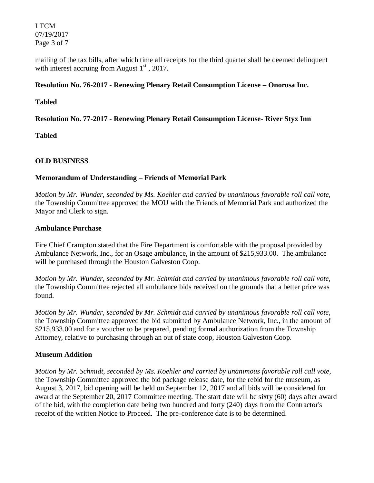LTCM 07/19/2017 Page 3 of 7

mailing of the tax bills, after which time all receipts for the third quarter shall be deemed delinquent with interest accruing from August  $1<sup>st</sup>$ , 2017.

### **Resolution No. 76-2017 - Renewing Plenary Retail Consumption License – Onorosa Inc.**

#### **Tabled**

# **Resolution No. 77-2017 - Renewing Plenary Retail Consumption License- River Styx Inn**

**Tabled**

# **OLD BUSINESS**

# **Memorandum of Understanding – Friends of Memorial Park**

*Motion by Mr. Wunder, seconded by Ms. Koehler and carried by unanimous favorable roll call vote,*  the Township Committee approved the MOU with the Friends of Memorial Park and authorized the Mayor and Clerk to sign.

#### **Ambulance Purchase**

Fire Chief Crampton stated that the Fire Department is comfortable with the proposal provided by Ambulance Network, Inc., for an Osage ambulance, in the amount of \$215,933.00. The ambulance will be purchased through the Houston Galveston Coop.

*Motion by Mr. Wunder, seconded by Mr. Schmidt and carried by unanimous favorable roll call vote,*  the Township Committee rejected all ambulance bids received on the grounds that a better price was found.

*Motion by Mr. Wunder, seconded by Mr. Schmidt and carried by unanimous favorable roll call vote,*  the Township Committee approved the bid submitted by Ambulance Network, Inc., in the amount of \$215,933.00 and for a voucher to be prepared, pending formal authorization from the Township Attorney, relative to purchasing through an out of state coop, Houston Galveston Coop.

# **Museum Addition**

*Motion by Mr. Schmidt, seconded by Ms. Koehler and carried by unanimous favorable roll call vote,*  the Township Committee approved the bid package release date, for the rebid for the museum, as August 3, 2017, bid opening will be held on September 12, 2017 and all bids will be considered for award at the September 20, 2017 Committee meeting. The start date will be sixty (60) days after award of the bid, with the completion date being two hundred and forty (240) days from the Contractor's receipt of the written Notice to Proceed. The pre-conference date is to be determined.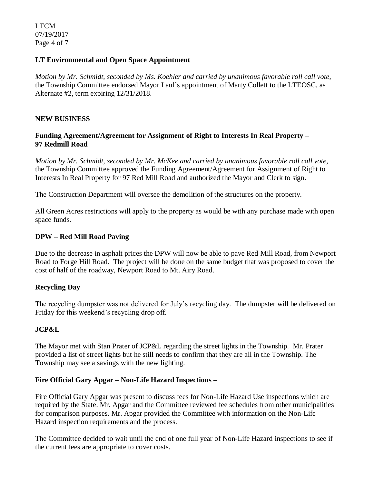LTCM 07/19/2017 Page 4 of 7

#### **LT Environmental and Open Space Appointment**

*Motion by Mr. Schmidt, seconded by Ms. Koehler and carried by unanimous favorable roll call vote,*  the Township Committee endorsed Mayor Laul's appointment of Marty Collett to the LTEOSC, as Alternate #2, term expiring 12/31/2018.

### **NEW BUSINESS**

## **Funding Agreement/Agreement for Assignment of Right to Interests In Real Property – 97 Redmill Road**

*Motion by Mr. Schmidt, seconded by Mr. McKee and carried by unanimous favorable roll call vote,*  the Township Committee approved the Funding Agreement/Agreement for Assignment of Right to Interests In Real Property for 97 Red Mill Road and authorized the Mayor and Clerk to sign.

The Construction Department will oversee the demolition of the structures on the property.

All Green Acres restrictions will apply to the property as would be with any purchase made with open space funds.

### **DPW – Red Mill Road Paving**

Due to the decrease in asphalt prices the DPW will now be able to pave Red Mill Road, from Newport Road to Forge Hill Road. The project will be done on the same budget that was proposed to cover the cost of half of the roadway, Newport Road to Mt. Airy Road.

#### **Recycling Day**

The recycling dumpster was not delivered for July's recycling day. The dumpster will be delivered on Friday for this weekend's recycling drop off.

# **JCP&L**

The Mayor met with Stan Prater of JCP&L regarding the street lights in the Township. Mr. Prater provided a list of street lights but he still needs to confirm that they are all in the Township. The Township may see a savings with the new lighting.

# **Fire Official Gary Apgar – Non-Life Hazard Inspections –**

Fire Official Gary Apgar was present to discuss fees for Non-Life Hazard Use inspections which are required by the State. Mr. Apgar and the Committee reviewed fee schedules from other municipalities for comparison purposes. Mr. Apgar provided the Committee with information on the Non-Life Hazard inspection requirements and the process.

The Committee decided to wait until the end of one full year of Non-Life Hazard inspections to see if the current fees are appropriate to cover costs.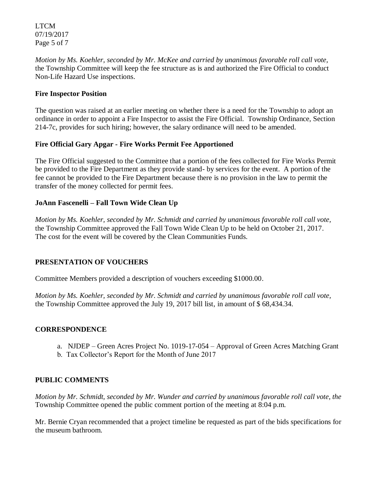LTCM 07/19/2017 Page 5 of 7

*Motion by Ms. Koehler, seconded by Mr. McKee and carried by unanimous favorable roll call vote,*  the Township Committee will keep the fee structure as is and authorized the Fire Official to conduct Non-Life Hazard Use inspections.

# **Fire Inspector Position**

The question was raised at an earlier meeting on whether there is a need for the Township to adopt an ordinance in order to appoint a Fire Inspector to assist the Fire Official. Township Ordinance, Section 214-7c, provides for such hiring; however, the salary ordinance will need to be amended.

# **Fire Official Gary Apgar - Fire Works Permit Fee Apportioned**

The Fire Official suggested to the Committee that a portion of the fees collected for Fire Works Permit be provided to the Fire Department as they provide stand- by services for the event. A portion of the fee cannot be provided to the Fire Department because there is no provision in the law to permit the transfer of the money collected for permit fees.

# **JoAnn Fascenelli – Fall Town Wide Clean Up**

*Motion by Ms. Koehler, seconded by Mr. Schmidt and carried by unanimous favorable roll call vote,*  the Township Committee approved the Fall Town Wide Clean Up to be held on October 21, 2017. The cost for the event will be covered by the Clean Communities Funds.

# **PRESENTATION OF VOUCHERS**

Committee Members provided a description of vouchers exceeding \$1000.00.

*Motion by Ms. Koehler, seconded by Mr. Schmidt and carried by unanimous favorable roll call vote,*  the Township Committee approved the July 19, 2017 bill list, in amount of \$ 68,434.34.

# **CORRESPONDENCE**

- a. NJDEP Green Acres Project No. 1019-17-054 Approval of Green Acres Matching Grant
- b. Tax Collector's Report for the Month of June 2017

# **PUBLIC COMMENTS**

*Motion by Mr. Schmidt, seconded by Mr. Wunder and carried by unanimous favorable roll call vote, the* Township Committee opened the public comment portion of the meeting at 8:04 p.m.

Mr. Bernie Cryan recommended that a project timeline be requested as part of the bids specifications for the museum bathroom.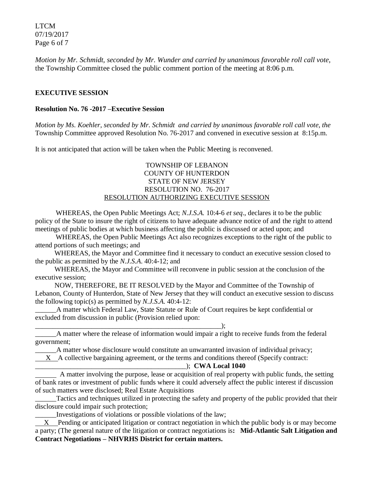LTCM 07/19/2017 Page 6 of 7

*Motion by Mr. Schmidt, seconded by Mr. Wunder and carried by unanimous favorable roll call vote,* the Township Committee closed the public comment portion of the meeting at 8:06 p.m.

#### **EXECUTIVE SESSION**

#### **Resolution No. 76 -2017 –Executive Session**

*Motion by Ms. Koehler, seconded by Mr. Schmidt and carried by unanimous favorable roll call vote, the* Township Committee approved Resolution No. 76-2017 and convened in executive session at 8:15p.m.

It is not anticipated that action will be taken when the Public Meeting is reconvened.

#### TOWNSHIP OF LEBANON COUNTY OF HUNTERDON STATE OF NEW JERSEY RESOLUTION NO. 76-2017 RESOLUTION AUTHORIZING EXECUTIVE SESSION

WHEREAS, the Open Public Meetings Act; *N.J.S.A.* 10:4-6 *et seq*., declares it to be the public policy of the State to insure the right of citizens to have adequate advance notice of and the right to attend meetings of public bodies at which business affecting the public is discussed or acted upon; and

WHEREAS, the Open Public Meetings Act also recognizes exceptions to the right of the public to attend portions of such meetings; and

 WHEREAS, the Mayor and Committee find it necessary to conduct an executive session closed to the public as permitted by the *N.J.S.A*. 40:4-12; and

 WHEREAS, the Mayor and Committee will reconvene in public session at the conclusion of the executive session;

 NOW, THEREFORE, BE IT RESOLVED by the Mayor and Committee of the Township of Lebanon, County of Hunterdon, State of New Jersey that they will conduct an executive session to discuss the following topic(s) as permitted by *N.J.S.A*. 40:4-12:

\_\_\_\_\_\_A matter which Federal Law, State Statute or Rule of Court requires be kept confidential or excluded from discussion in public (Provision relied upon:

\_\_\_\_\_\_\_\_\_\_\_\_\_\_\_\_\_\_\_\_\_\_\_\_\_\_\_\_\_\_\_\_\_\_\_\_\_\_\_\_\_\_\_\_\_\_\_\_\_\_\_\_\_);

\_\_\_\_\_\_A matter where the release of information would impair a right to receive funds from the federal government;

\_\_\_\_\_\_A matter whose disclosure would constitute an unwarranted invasion of individual privacy;

X A collective bargaining agreement, or the terms and conditions thereof (Specify contract:

#### \_\_\_\_\_\_\_\_\_\_\_\_\_\_\_\_\_\_\_\_\_\_\_\_\_\_\_\_\_\_\_\_\_\_\_\_\_\_\_\_\_\_\_); **CWA Local 1040**

 A matter involving the purpose, lease or acquisition of real property with public funds, the setting of bank rates or investment of public funds where it could adversely affect the public interest if discussion of such matters were disclosed; Real Estate Acquisitions

\_\_\_\_\_\_Tactics and techniques utilized in protecting the safety and property of the public provided that their disclosure could impair such protection;

\_\_\_\_\_\_Investigations of violations or possible violations of the law;

 $X$  Pending or anticipated litigation or contract negotiation in which the public body is or may become a party; (The general nature of the litigation or contract negotiations is**: Mid-Atlantic Salt Litigation and Contract Negotiations – NHVRHS District for certain matters.**